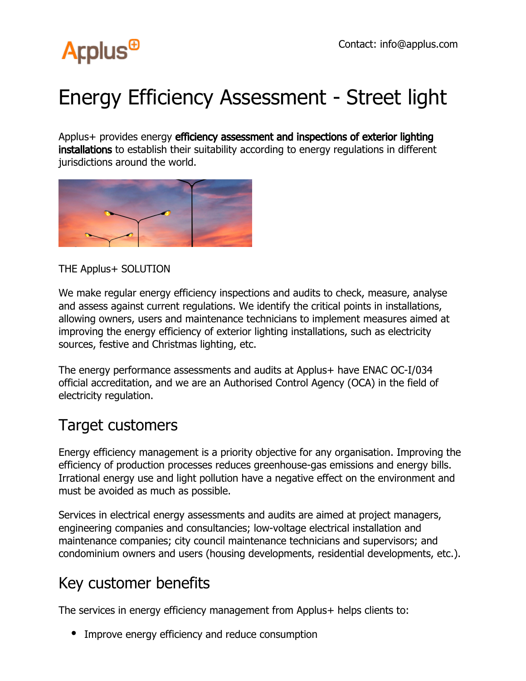

## Energy Efficiency Assessment - Street light

Applus+ provides energy efficiency assessment and inspections of exterior lighting installations to establish their suitability according to energy regulations in different jurisdictions around the world.



THE Applus+ SOLUTION

We make regular energy efficiency inspections and audits to check, measure, analyse and assess against current regulations. We identify the critical points in installations, allowing owners, users and maintenance technicians to implement measures aimed at improving the energy efficiency of exterior lighting installations, such as electricity sources, festive and Christmas lighting, etc.

The energy performance assessments and audits at Applus+ have ENAC OC-I/034 official accreditation, and we are an Authorised Control Agency (OCA) in the field of electricity regulation.

## Target customers

Energy efficiency management is a priority objective for any organisation. Improving the efficiency of production processes reduces greenhouse-gas emissions and energy bills. Irrational energy use and light pollution have a negative effect on the environment and must be avoided as much as possible.

Services in electrical energy assessments and audits are aimed at project managers, engineering companies and consultancies; low-voltage electrical installation and maintenance companies; city council maintenance technicians and supervisors; and condominium owners and users (housing developments, residential developments, etc.).

## Key customer benefits

The services in energy efficiency management from Applus+ helps clients to:

• Improve energy efficiency and reduce consumption